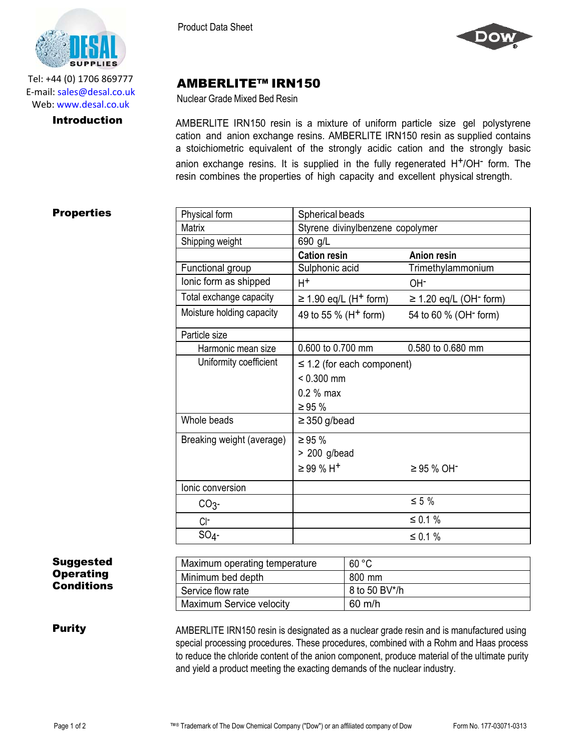

Tel: +44 (0) 1706 869777 E‐mail: sales@desal.co.uk Web: www.desal.co.uk

Product Data Sheet



# AMBERLITE™ IRN150

Nuclear Grade Mixed Bed Resin

**Introduction** AMBERLITE IRN150 resin is a mixture of uniform particle size gel polystyrene cation and anion exchange resins. AMBERLITE IRN150 resin as supplied contains a stoichiometric equivalent of the strongly acidic cation and the strongly basic anion exchange resins. It is supplied in the fully regenerated H<sup>+</sup>/OH<sup>-</sup> form. The resin combines the properties of high capacity and excellent physical strength.

## **Properties**

| Physical form             | Spherical beads                                 |                                         |  |
|---------------------------|-------------------------------------------------|-----------------------------------------|--|
| <b>Matrix</b>             | Styrene divinylbenzene copolymer                |                                         |  |
| Shipping weight           | 690 g/L                                         |                                         |  |
|                           | <b>Cation resin</b>                             | <b>Anion resin</b>                      |  |
| Functional group          | Sulphonic acid                                  | Trimethylammonium                       |  |
| lonic form as shipped     | $H^+$                                           | OH <sup>-</sup>                         |  |
| Total exchange capacity   | $\geq$ 1.90 eq/L (H <sup>+</sup> form)          | $\geq$ 1.20 eq/L (OH <sup>-</sup> form) |  |
| Moisture holding capacity | 49 to 55 % (H <sup>+</sup> form)                | 54 to 60 % (OH <sup>-</sup> form)       |  |
| Particle size             |                                                 |                                         |  |
| Harmonic mean size        | 0.600 to 0.700 mm                               | 0.580 to 0.680 mm                       |  |
| Uniformity coefficient    | $\leq$ 1.2 (for each component)<br>$< 0.300$ mm |                                         |  |
|                           |                                                 |                                         |  |
|                           | 0.2 % max                                       |                                         |  |
|                           | $\geq 95 \%$                                    |                                         |  |
| Whole beads               | $\geq$ 350 g/bead                               |                                         |  |
| Breaking weight (average) | $\geq 95 \%$                                    |                                         |  |
|                           | > 200 g/bead                                    |                                         |  |
|                           | $\geq$ 99 % H <sup>+</sup>                      | $\geq$ 95 % OH <sup>-</sup>             |  |
| Ionic conversion          |                                                 |                                         |  |
| CO <sub>3</sub>           |                                                 | $\leq 5\%$                              |  |
| $CI-$                     |                                                 | ≤ 0.1 %                                 |  |
| $SO_4$ -                  |                                                 | ≤ 0.1 %                                 |  |

## Suggested **Operating** Conditions

| Maximum operating temperature | 60 °C            |
|-------------------------------|------------------|
| Minimum bed depth             | 800 mm           |
| Service flow rate             | 8 to 50 BV*/h    |
| Maximum Service velocity      | $60 \text{ m/h}$ |

**Purity** AMBERLITE IRN150 resin is designated as a nuclear grade resin and is manufactured using special processing procedures. These procedures, combined with a Rohm and Haas process to reduce the chloride content of the anion component, produce material of the ultimate purity and yield a product meeting the exacting demands of the nuclear industry.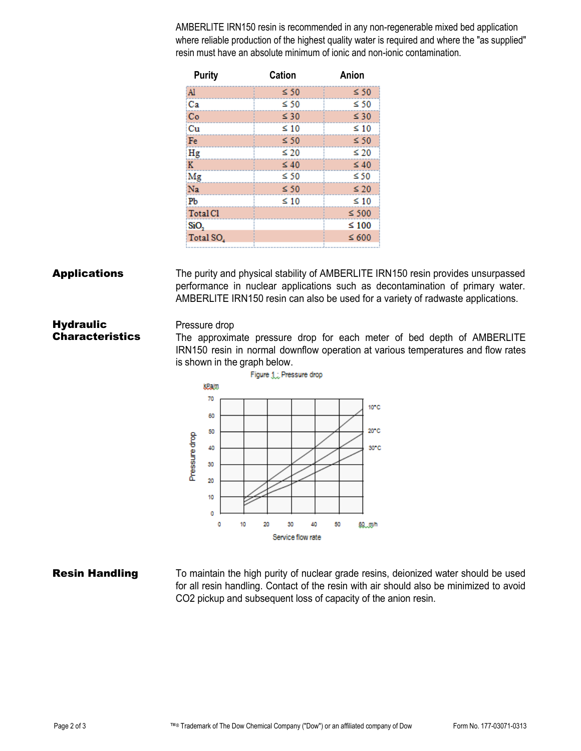AMBERLITE IRN150 resin is recommended in any non-regenerable mixed bed application where reliable production of the highest quality water is required and where the "as supplied" resin must have an absolute minimum of ionic and non-ionic contamination.

| <b>Purity</b>         | <b>Cation</b> | Anion      |
|-----------------------|---------------|------------|
| Al                    | $\leq 50$     | $\leq 50$  |
| Ca                    | ≤ 50          | $\leq 50$  |
| Co                    | $\leq 30$     | $\leq 30$  |
| Сu                    | $\leq 10$     | $\leq 10$  |
| Fe                    | $\leq 50$     | $\leq 50$  |
| Hg                    | $\leq 20$     | $\leq 20$  |
| K                     | $\leq 40$     | $\leq 40$  |
| Mg                    | ≤ 50          | $\leq 50$  |
| Na                    | $\leq 50$     | $\leq 20$  |
| Pb                    | $\leq 10$     | $\leq 10$  |
| <b>Total Cl</b>       |               | $\leq 500$ |
| SiO <sub>2</sub>      |               | $\leq 100$ |
| Total SO <sub>4</sub> |               | $\leq 600$ |
|                       |               |            |

## **Applications** The purity and physical stability of AMBERLITE IRN150 resin provides unsurpassed performance in nuclear applications such as decontamination of primary water. AMBERLITE IRN150 resin can also be used for a variety of radwaste applications.

### **Hydraulic Characteristics** Pressure drop The approximate pressure drop for each meter of bed depth of AMBERLITE IRN150 resin in normal downflow operation at various temperatures and flow rates



**Resin Handling** To maintain the high purity of nuclear grade resins, deionized water should be used for all resin handling. Contact of the resin with air should also be minimized to avoid CO2 pickup and subsequent loss of capacity of the anion resin.